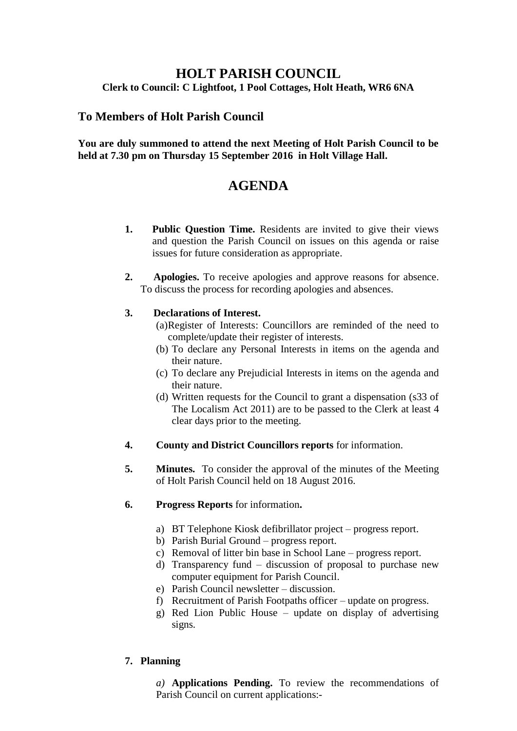# **HOLT PARISH COUNCIL Clerk to Council: C Lightfoot, 1 Pool Cottages, Holt Heath, WR6 6NA**

# **To Members of Holt Parish Council**

# **You are duly summoned to attend the next Meeting of Holt Parish Council to be held at 7.30 pm on Thursday 15 September 2016 in Holt Village Hall.**

# **AGENDA**

- **1. Public Question Time.** Residents are invited to give their views and question the Parish Council on issues on this agenda or raise issues for future consideration as appropriate.
- **2. Apologies.** To receive apologies and approve reasons for absence. To discuss the process for recording apologies and absences.

# **3. Declarations of Interest.**

- (a)Register of Interests: Councillors are reminded of the need to complete/update their register of interests.
- (b) To declare any Personal Interests in items on the agenda and their nature.
- (c) To declare any Prejudicial Interests in items on the agenda and their nature.
- (d) Written requests for the Council to grant a dispensation (s33 of The Localism Act 2011) are to be passed to the Clerk at least 4 clear days prior to the meeting.
- **4. County and District Councillors reports** for information.
- **5. Minutes.** To consider the approval of the minutes of the Meeting of Holt Parish Council held on 18 August 2016.
- **6. Progress Reports** for information**.**
	- a) BT Telephone Kiosk defibrillator project progress report.
	- b) Parish Burial Ground progress report.
	- c) Removal of litter bin base in School Lane progress report.
	- d) Transparency fund discussion of proposal to purchase new computer equipment for Parish Council.
	- e) Parish Council newsletter discussion.
	- f) Recruitment of Parish Footpaths officer update on progress.
	- g) Red Lion Public House update on display of advertising signs.

# **7. Planning**

*a)* **Applications Pending.** To review the recommendations of Parish Council on current applications:-